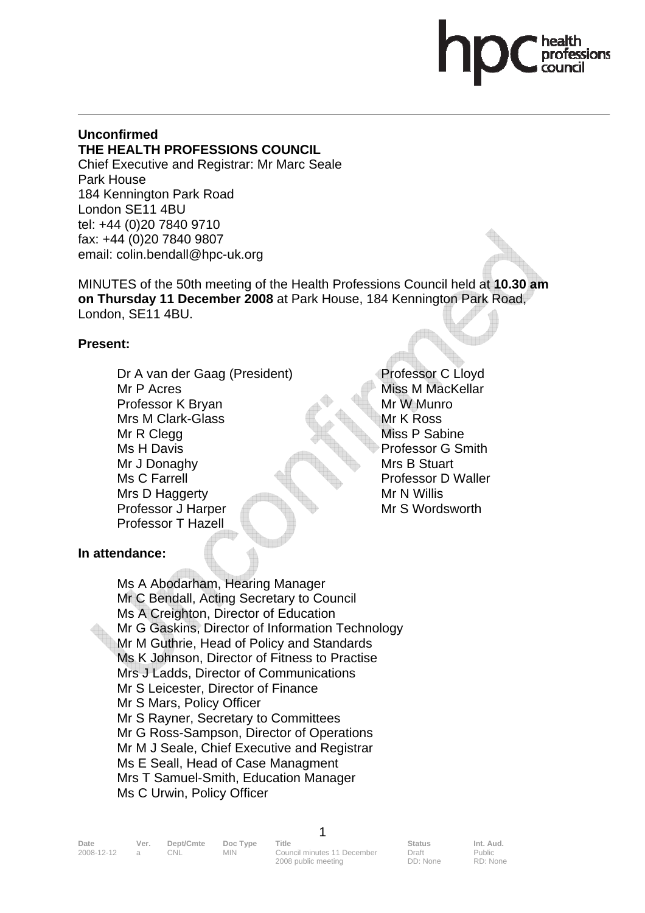#### **Unconfirmed THE HEALTH PROFESSIONS COUNCIL**

Chief Executive and Registrar: Mr Marc Seale Park House 184 Kennington Park Road London SE11 4BU tel: +44 (0)20 7840 9710 fax: +44 (0)20 7840 9807 email: colin.bendall@hpc-uk.org

MINUTES of the 50th meeting of the Health Professions Council held at **10.30 am on Thursday 11 December 2008** at Park House, 184 Kennington Park Road, London, SE11 4BU.

#### **Present:**

Dr A van der Gaag (President) Mr P Acres Professor K Bryan Mrs M Clark-Glass Mr R Clegg Ms H Davis Mr J Donaghy Ms C Farrell Mrs D Haggerty Professor J Harper Professor T Hazell

Professor C Lloyd Miss M MacKellar Mr W Munro Mr K Ross Miss P Sabine Professor G Smith Mrs B Stuart Professor D Waller Mr N Willis Mr S Wordsworth

### **In attendance:**

 Ms A Abodarham, Hearing Manager Mr C Bendall, Acting Secretary to Council Ms A Creighton, Director of Education Mr G Gaskins, Director of Information Technology Mr M Guthrie, Head of Policy and Standards Ms K Johnson, Director of Fitness to Practise Mrs J Ladds, Director of Communications Mr S Leicester, Director of Finance Mr S Mars, Policy Officer Mr S Rayner, Secretary to Committees Mr G Ross-Sampson, Director of Operations Mr M J Seale, Chief Executive and Registrar Ms E Seall, Head of Case Managment Mrs T Samuel-Smith, Education Manager Ms C Urwin, Policy Officer

| Date       | Ver. | Dept/Cmte | Doc Type | Title                       | <b>Status</b> | Int. Aud. |
|------------|------|-----------|----------|-----------------------------|---------------|-----------|
| 2008-12-12 |      | CNL.      | MIN.     | Council minutes 11 December | Draft         | Public    |
|            |      |           |          | 2008 public meeting         | DD: None      | RD: None  |

1

Public RD: None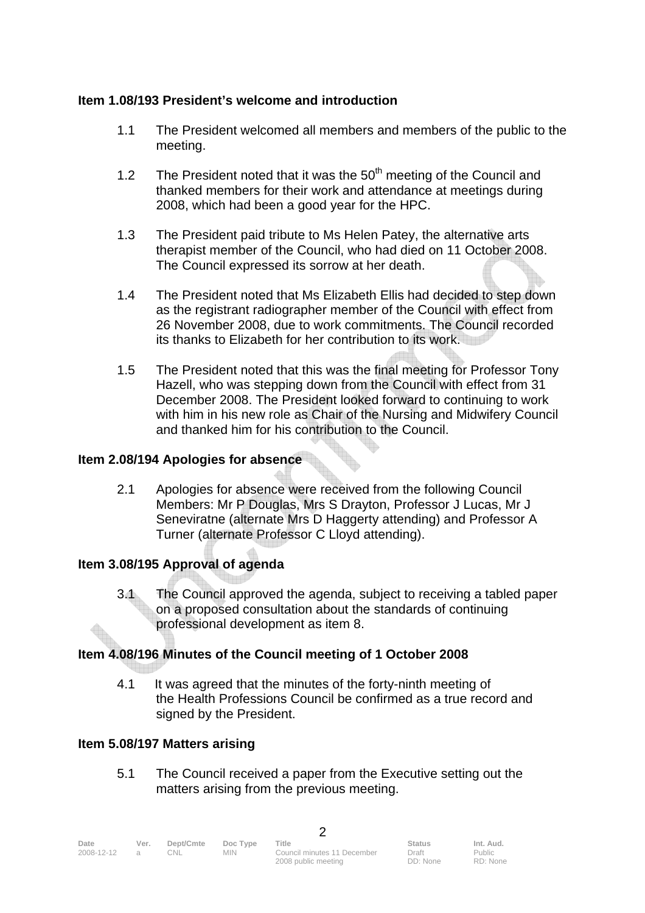#### **Item 1.08/193 President's welcome and introduction**

- 1.1 The President welcomed all members and members of the public to the meeting.
- 1.2 The President noted that it was the  $50<sup>th</sup>$  meeting of the Council and thanked members for their work and attendance at meetings during 2008, which had been a good year for the HPC.
- 1.3 The President paid tribute to Ms Helen Patey, the alternative arts therapist member of the Council, who had died on 11 October 2008. The Council expressed its sorrow at her death.
- 1.4 The President noted that Ms Elizabeth Ellis had decided to step down as the registrant radiographer member of the Council with effect from 26 November 2008, due to work commitments. The Council recorded its thanks to Elizabeth for her contribution to its work.
- 1.5 The President noted that this was the final meeting for Professor Tony Hazell, who was stepping down from the Council with effect from 31 December 2008. The President looked forward to continuing to work with him in his new role as Chair of the Nursing and Midwifery Council and thanked him for his contribution to the Council.

#### **Item 2.08/194 Apologies for absence**

2.1 Apologies for absence were received from the following Council Members: Mr P Douglas, Mrs S Drayton, Professor J Lucas, Mr J Seneviratne (alternate Mrs D Haggerty attending) and Professor A Turner (alternate Professor C Lloyd attending).

### **Item 3.08/195 Approval of agenda**

3.1 The Council approved the agenda, subject to receiving a tabled paper on a proposed consultation about the standards of continuing professional development as item 8.

### **Item 4.08/196 Minutes of the Council meeting of 1 October 2008**

4.1 It was agreed that the minutes of the forty-ninth meeting of the Health Professions Council be confirmed as a true record and signed by the President.

#### **Item 5.08/197 Matters arising**

5.1 The Council received a paper from the Executive setting out the matters arising from the previous meeting.

 $\mathfrak{D}$ 

| Date       | Ver. | Dept/Cmte | Doc Type | Title                       | <b>Status</b> | Int. Aud. |
|------------|------|-----------|----------|-----------------------------|---------------|-----------|
| 2008-12-12 |      | DNL.      | MIN.     | Council minutes 11 December | Draft         | Public    |
|            |      |           |          | 2008 public meeting         | DD: None      | RD: None  |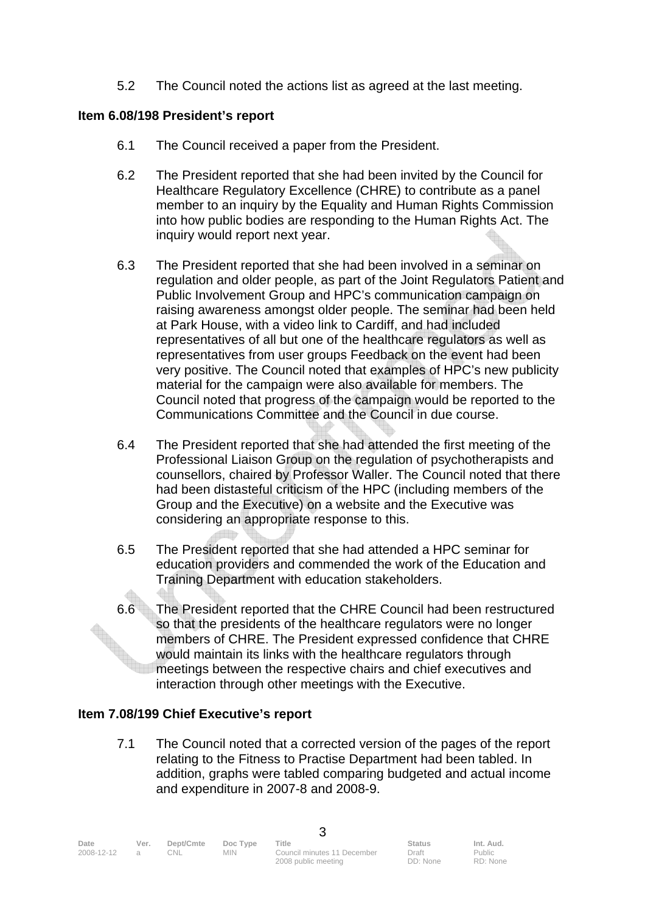5.2 The Council noted the actions list as agreed at the last meeting.

#### **Item 6.08/198 President's report**

- 6.1 The Council received a paper from the President.
- 6.2 The President reported that she had been invited by the Council for Healthcare Regulatory Excellence (CHRE) to contribute as a panel member to an inquiry by the Equality and Human Rights Commission into how public bodies are responding to the Human Rights Act. The inquiry would report next year.
- 6.3 The President reported that she had been involved in a seminar on regulation and older people, as part of the Joint Regulators Patient and Public Involvement Group and HPC's communication campaign on raising awareness amongst older people. The seminar had been held at Park House, with a video link to Cardiff, and had included representatives of all but one of the healthcare regulators as well as representatives from user groups Feedback on the event had been very positive. The Council noted that examples of HPC's new publicity material for the campaign were also available for members. The Council noted that progress of the campaign would be reported to the Communications Committee and the Council in due course.
- 6.4 The President reported that she had attended the first meeting of the Professional Liaison Group on the regulation of psychotherapists and counsellors, chaired by Professor Waller. The Council noted that there had been distasteful criticism of the HPC (including members of the Group and the Executive) on a website and the Executive was considering an appropriate response to this.
- 6.5 The President reported that she had attended a HPC seminar for education providers and commended the work of the Education and Training Department with education stakeholders.
- 6.6 The President reported that the CHRE Council had been restructured so that the presidents of the healthcare regulators were no longer members of CHRE. The President expressed confidence that CHRE would maintain its links with the healthcare regulators through meetings between the respective chairs and chief executives and interaction through other meetings with the Executive.

### **Item 7.08/199 Chief Executive's report**

 7.1 The Council noted that a corrected version of the pages of the report relating to the Fitness to Practise Department had been tabled. In addition, graphs were tabled comparing budgeted and actual income and expenditure in 2007-8 and 2008-9.

| Date       | Ver. | Dept/Cmte | Doc Type   | Title                       | <b>Status</b> | Int. Aud. |
|------------|------|-----------|------------|-----------------------------|---------------|-----------|
| 2008-12-12 |      | CNL       | <b>MIN</b> | Council minutes 11 December | Draft         | Public    |
|            |      |           |            | 2008 public meeting         | DD: None      | RD: None  |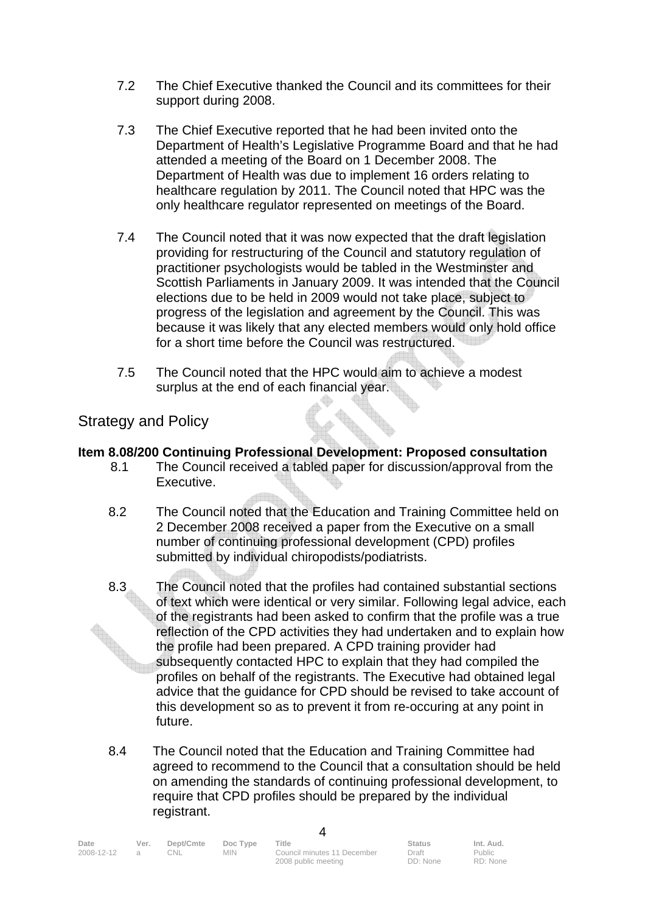- 7.2 The Chief Executive thanked the Council and its committees for their support during 2008.
- 7.3 The Chief Executive reported that he had been invited onto the Department of Health's Legislative Programme Board and that he had attended a meeting of the Board on 1 December 2008. The Department of Health was due to implement 16 orders relating to healthcare regulation by 2011. The Council noted that HPC was the only healthcare regulator represented on meetings of the Board.
- 7.4 The Council noted that it was now expected that the draft legislation providing for restructuring of the Council and statutory regulation of practitioner psychologists would be tabled in the Westminster and Scottish Parliaments in January 2009. It was intended that the Council elections due to be held in 2009 would not take place, subject to progress of the legislation and agreement by the Council. This was because it was likely that any elected members would only hold office for a short time before the Council was restructured.
- 7.5 The Council noted that the HPC would aim to achieve a modest surplus at the end of each financial year.

## Strategy and Policy

#### **Item 8.08/200 Continuing Professional Development: Proposed consultation**

- 8.1 The Council received a tabled paper for discussion/approval from the Executive.
- 8.2 The Council noted that the Education and Training Committee held on 2 December 2008 received a paper from the Executive on a small number of continuing professional development (CPD) profiles submitted by individual chiropodists/podiatrists.
- 8.3 The Council noted that the profiles had contained substantial sections of text which were identical or very similar. Following legal advice, each of the registrants had been asked to confirm that the profile was a true reflection of the CPD activities they had undertaken and to explain how the profile had been prepared. A CPD training provider had subsequently contacted HPC to explain that they had compiled the profiles on behalf of the registrants. The Executive had obtained legal advice that the guidance for CPD should be revised to take account of this development so as to prevent it from re-occuring at any point in future.
- 8.4 The Council noted that the Education and Training Committee had agreed to recommend to the Council that a consultation should be held on amending the standards of continuing professional development, to require that CPD profiles should be prepared by the individual registrant.

| Date       | Ver. | Dept/Cmte | Doc Type | Title                       | <b>Status</b> | Int. Aud. |
|------------|------|-----------|----------|-----------------------------|---------------|-----------|
| 2008-12-12 |      | CNL.      | MIN.     | Council minutes 11 December | Draft         | Public    |
|            |      |           |          | 2008 public meeting         | DD: None      | RD: None  |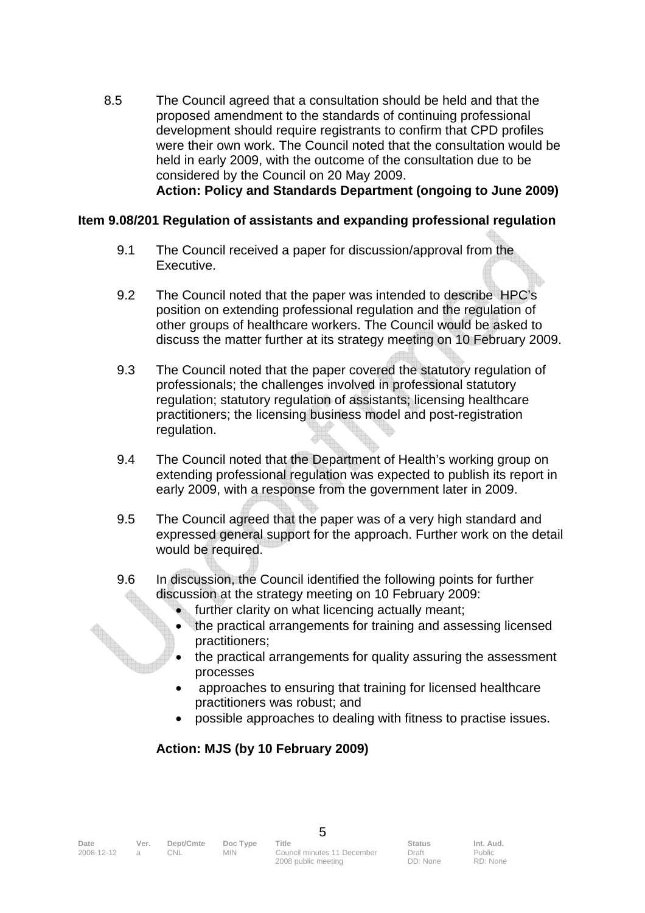8.5 The Council agreed that a consultation should be held and that the proposed amendment to the standards of continuing professional development should require registrants to confirm that CPD profiles were their own work. The Council noted that the consultation would be held in early 2009, with the outcome of the consultation due to be considered by the Council on 20 May 2009. **Action: Policy and Standards Department (ongoing to June 2009)** 

# **Item 9.08/201 Regulation of assistants and expanding professional regulation**

- 9.1 The Council received a paper for discussion/approval from the Executive.
- 9.2 The Council noted that the paper was intended to describe HPC's position on extending professional regulation and the regulation of other groups of healthcare workers. The Council would be asked to discuss the matter further at its strategy meeting on 10 February 2009.
- 9.3 The Council noted that the paper covered the statutory regulation of professionals; the challenges involved in professional statutory regulation; statutory regulation of assistants; licensing healthcare practitioners; the licensing business model and post-registration regulation.
- 9.4 The Council noted that the Department of Health's working group on extending professional regulation was expected to publish its report in early 2009, with a response from the government later in 2009.
- 9.5 The Council agreed that the paper was of a very high standard and expressed general support for the approach. Further work on the detail would be required.
- 9.6 In discussion, the Council identified the following points for further discussion at the strategy meeting on 10 February 2009:
	- further clarity on what licencing actually meant;
	- the practical arrangements for training and assessing licensed practitioners;
	- the practical arrangements for quality assuring the assessment processes
	- approaches to ensuring that training for licensed healthcare practitioners was robust; and
	- possible approaches to dealing with fitness to practise issues.

# **Action: MJS (by 10 February 2009)**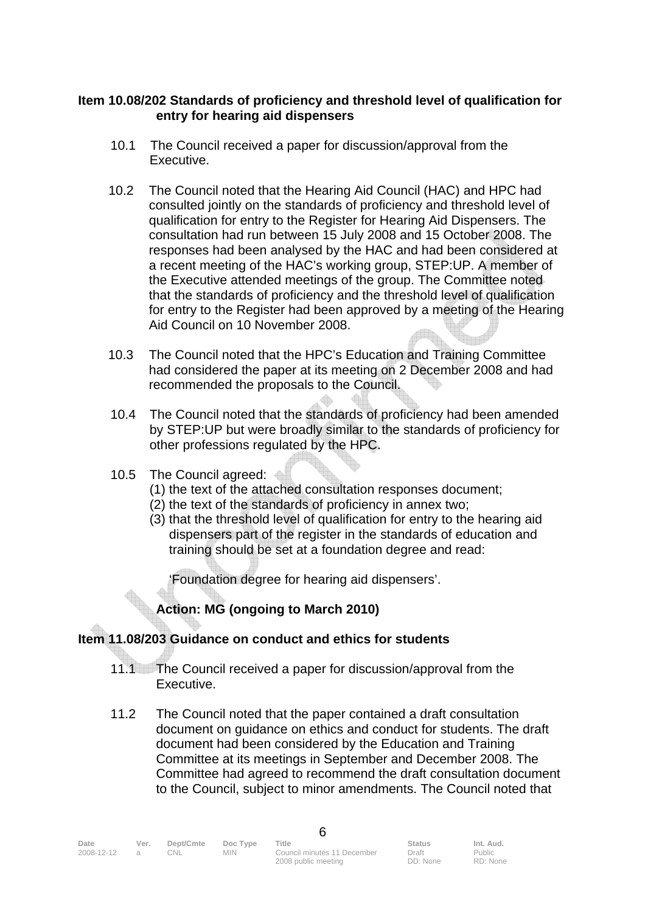#### **Item 10.08/202 Standards of proficiency and threshold level of qualification for entry for hearing aid dispensers**

- 10.1 The Council received a paper for discussion/approval from the Executive.
- 10.2 The Council noted that the Hearing Aid Council (HAC) and HPC had consulted jointly on the standards of proficiency and threshold level of qualification for entry to the Register for Hearing Aid Dispensers. The consultation had run between 15 July 2008 and 15 October 2008. The responses had been analysed by the HAC and had been considered at a recent meeting of the HAC's working group, STEP:UP. A member of the Executive attended meetings of the group. The Committee noted that the standards of proficiency and the threshold level of qualification for entry to the Register had been approved by a meeting of the Hearing Aid Council on 10 November 2008.
- 10.3 The Council noted that the HPC's Education and Training Committee had considered the paper at its meeting on 2 December 2008 and had recommended the proposals to the Council.
- 10.4 The Council noted that the standards of proficiency had been amended by STEP:UP but were broadly similar to the standards of proficiency for other professions regulated by the HPC.
- 10.5 The Council agreed:
	- (1) the text of the attached consultation responses document;
	- (2) the text of the standards of proficiency in annex two;
	- (3) that the threshold level of qualification for entry to the hearing aid dispensers part of the register in the standards of education and training should be set at a foundation degree and read:

'Foundation degree for hearing aid dispensers'.

# **Action: MG (ongoing to March 2010)**

### **Item 11.08/203 Guidance on conduct and ethics for students**

- 11.1 The Council received a paper for discussion/approval from the Executive.
- 11.2 The Council noted that the paper contained a draft consultation document on guidance on ethics and conduct for students. The draft document had been considered by the Education and Training Committee at its meetings in September and December 2008. The Committee had agreed to recommend the draft consultation document to the Council, subject to minor amendments. The Council noted that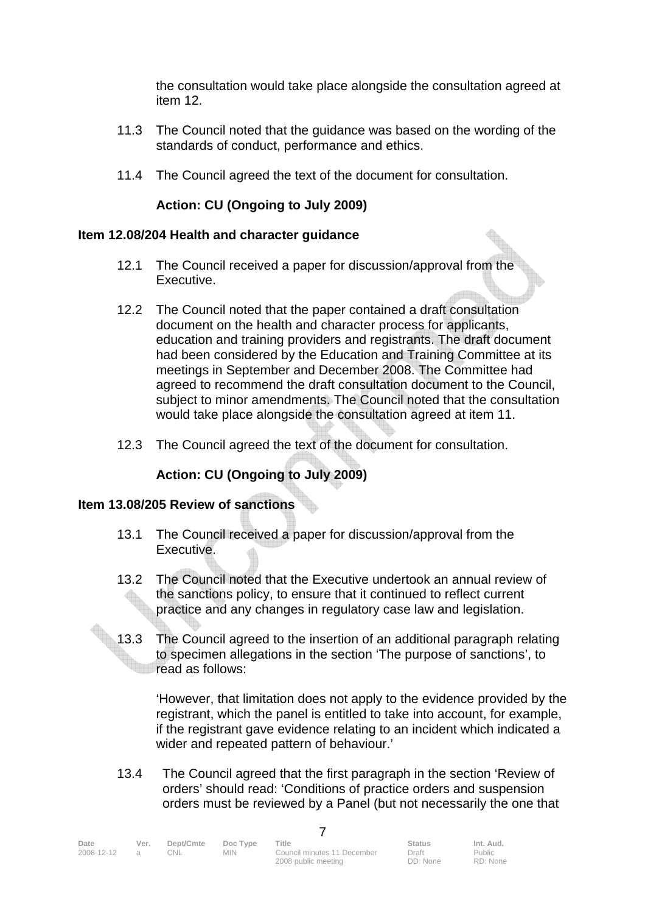the consultation would take place alongside the consultation agreed at item 12.

- 11.3 The Council noted that the guidance was based on the wording of the standards of conduct, performance and ethics.
- 11.4 The Council agreed the text of the document for consultation.

### **Action: CU (Ongoing to July 2009)**

#### **Item 12.08/204 Health and character guidance**

- 12.1 The Council received a paper for discussion/approval from the Executive.
- 12.2 The Council noted that the paper contained a draft consultation document on the health and character process for applicants, education and training providers and registrants. The draft document had been considered by the Education and Training Committee at its meetings in September and December 2008. The Committee had agreed to recommend the draft consultation document to the Council, subject to minor amendments. The Council noted that the consultation would take place alongside the consultation agreed at item 11.
- 12.3 The Council agreed the text of the document for consultation.

### **Action: CU (Ongoing to July 2009)**

#### **Item 13.08/205 Review of sanctions**

- 13.1 The Council received a paper for discussion/approval from the Executive.
- 13.2 The Council noted that the Executive undertook an annual review of the sanctions policy, to ensure that it continued to reflect current practice and any changes in regulatory case law and legislation.
- 13.3 The Council agreed to the insertion of an additional paragraph relating to specimen allegations in the section 'The purpose of sanctions', to read as follows:

 'However, that limitation does not apply to the evidence provided by the registrant, which the panel is entitled to take into account, for example, if the registrant gave evidence relating to an incident which indicated a wider and repeated pattern of behaviour.'

 13.4 The Council agreed that the first paragraph in the section 'Review of orders' should read: 'Conditions of practice orders and suspension orders must be reviewed by a Panel (but not necessarily the one that

| Date       | Ver. | Dept/Cmte | Doc Type   | Title                       | <b>Status</b> | Int. Aud. |
|------------|------|-----------|------------|-----------------------------|---------------|-----------|
| 2008-12-12 |      | CNL       | <b>MIN</b> | Council minutes 11 December | Draft         | Public    |
|            |      |           |            | 2008 public meeting         | DD: None      | RD: None  |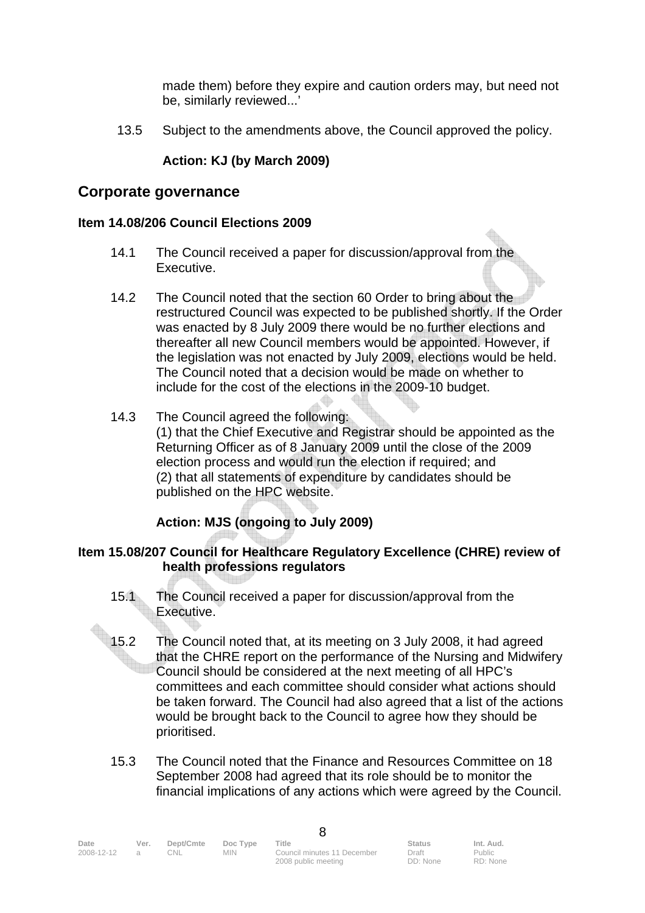made them) before they expire and caution orders may, but need not be, similarly reviewed...'

13.5 Subject to the amendments above, the Council approved the policy.

#### **Action: KJ (by March 2009)**

#### **Corporate governance**

#### **Item 14.08/206 Council Elections 2009**

- 14.1 The Council received a paper for discussion/approval from the Executive.
- 14.2 The Council noted that the section 60 Order to bring about the restructured Council was expected to be published shortly. If the Order was enacted by 8 July 2009 there would be no further elections and thereafter all new Council members would be appointed. However, if the legislation was not enacted by July 2009, elections would be held. The Council noted that a decision would be made on whether to include for the cost of the elections in the 2009-10 budget.
- 14.3 The Council agreed the following: (1) that the Chief Executive and Registrar should be appointed as the Returning Officer as of 8 January 2009 until the close of the 2009 election process and would run the election if required; and (2) that all statements of expenditure by candidates should be published on the HPC website.

### **Action: MJS (ongoing to July 2009)**

#### **Item 15.08/207 Council for Healthcare Regulatory Excellence (CHRE) review of health professions regulators**

- 15.1 The Council received a paper for discussion/approval from the Executive.
- 15.2 The Council noted that, at its meeting on 3 July 2008, it had agreed that the CHRE report on the performance of the Nursing and Midwifery Council should be considered at the next meeting of all HPC's committees and each committee should consider what actions should be taken forward. The Council had also agreed that a list of the actions would be brought back to the Council to agree how they should be prioritised.
- 15.3 The Council noted that the Finance and Resources Committee on 18 September 2008 had agreed that its role should be to monitor the financial implications of any actions which were agreed by the Council.

| Date       | Ver.           | Dept/Cmte | Doc Type | Title                       | <b>Status</b> | Int. Aud. |  |
|------------|----------------|-----------|----------|-----------------------------|---------------|-----------|--|
| 2008-12-12 | $\overline{a}$ | CNL.      | MIN.     | Council minutes 11 December | Draft         | Public    |  |
|            |                |           |          | 2008 public meeting         | DD: None      | RD: None  |  |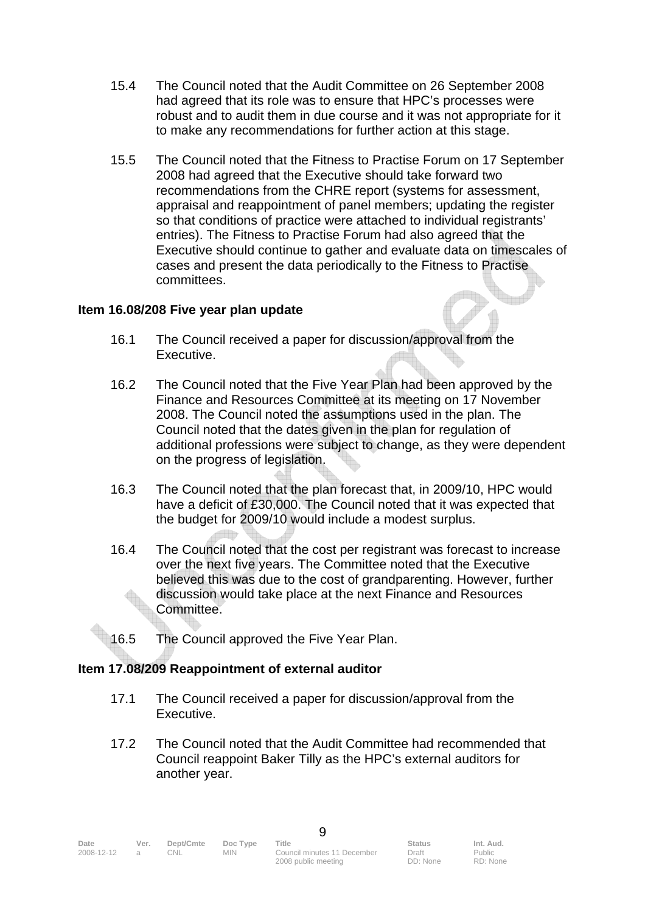- 15.4 The Council noted that the Audit Committee on 26 September 2008 had agreed that its role was to ensure that HPC's processes were robust and to audit them in due course and it was not appropriate for it to make any recommendations for further action at this stage.
- 15.5 The Council noted that the Fitness to Practise Forum on 17 September 2008 had agreed that the Executive should take forward two recommendations from the CHRE report (systems for assessment, appraisal and reappointment of panel members; updating the register so that conditions of practice were attached to individual registrants' entries). The Fitness to Practise Forum had also agreed that the Executive should continue to gather and evaluate data on timescales of cases and present the data periodically to the Fitness to Practise committees.

#### **Item 16.08/208 Five year plan update**

- 16.1 The Council received a paper for discussion/approval from the Executive.
- 16.2 The Council noted that the Five Year Plan had been approved by the Finance and Resources Committee at its meeting on 17 November 2008. The Council noted the assumptions used in the plan. The Council noted that the dates given in the plan for regulation of additional professions were subject to change, as they were dependent on the progress of legislation.
- 16.3 The Council noted that the plan forecast that, in 2009/10, HPC would have a deficit of £30,000. The Council noted that it was expected that the budget for 2009/10 would include a modest surplus.
- 16.4 The Council noted that the cost per registrant was forecast to increase over the next five years. The Committee noted that the Executive believed this was due to the cost of grandparenting. However, further discussion would take place at the next Finance and Resources Committee.
- 16.5 The Council approved the Five Year Plan.

#### **Item 17.08/209 Reappointment of external auditor**

- 17.1 The Council received a paper for discussion/approval from the Executive.
- 17.2 The Council noted that the Audit Committee had recommended that Council reappoint Baker Tilly as the HPC's external auditors for another year.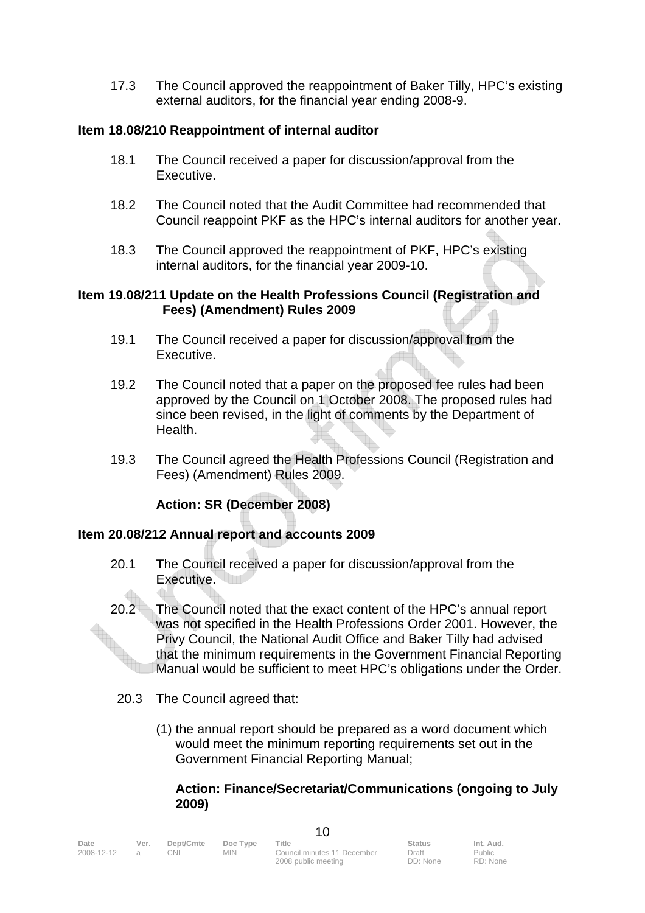17.3 The Council approved the reappointment of Baker Tilly, HPC's existing external auditors, for the financial year ending 2008-9.

#### **Item 18.08/210 Reappointment of internal auditor**

- 18.1 The Council received a paper for discussion/approval from the Executive.
- 18.2 The Council noted that the Audit Committee had recommended that Council reappoint PKF as the HPC's internal auditors for another year.
- 18.3 The Council approved the reappointment of PKF, HPC's existing internal auditors, for the financial year 2009-10.

#### **Item 19.08/211 Update on the Health Professions Council (Registration and Fees) (Amendment) Rules 2009**

- 19.1 The Council received a paper for discussion/approval from the Executive.
- 19.2 The Council noted that a paper on the proposed fee rules had been approved by the Council on 1 October 2008. The proposed rules had since been revised, in the light of comments by the Department of Health.
- 19.3 The Council agreed the Health Professions Council (Registration and Fees) (Amendment) Rules 2009.

### **Action: SR (December 2008)**

#### **Item 20.08/212 Annual report and accounts 2009**

- 20.1 The Council received a paper for discussion/approval from the Executive.
- 20.2 The Council noted that the exact content of the HPC's annual report was not specified in the Health Professions Order 2001. However, the Privy Council, the National Audit Office and Baker Tilly had advised that the minimum requirements in the Government Financial Reporting Manual would be sufficient to meet HPC's obligations under the Order.
	- 20.3 The Council agreed that:
		- (1) the annual report should be prepared as a word document which would meet the minimum reporting requirements set out in the Government Financial Reporting Manual;

#### **Action: Finance/Secretariat/Communications (ongoing to July 2009)**

| Date       | Ver.           | Dept/Cmte | Doc Type | Title                       | <b>Status</b> | Int. Aud. |  |
|------------|----------------|-----------|----------|-----------------------------|---------------|-----------|--|
| 2008-12-12 | $\overline{a}$ | CNL.      | MIN.     | Council minutes 11 December | Draft         | Public    |  |
|            |                |           |          | 2008 public meeting         | DD: None      | RD: None  |  |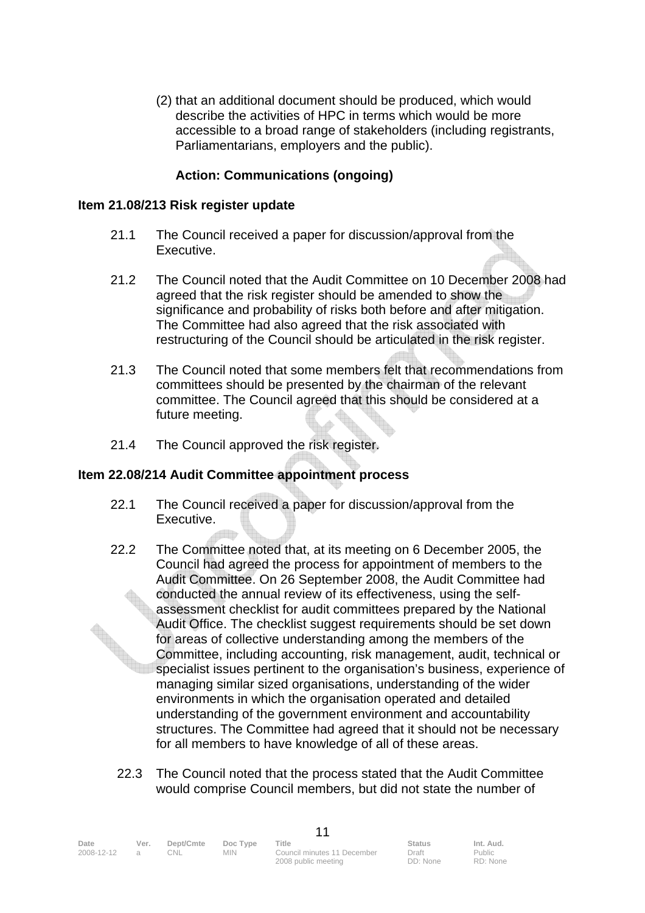(2) that an additional document should be produced, which would describe the activities of HPC in terms which would be more accessible to a broad range of stakeholders (including registrants, Parliamentarians, employers and the public).

#### **Action: Communications (ongoing)**

#### **Item 21.08/213 Risk register update**

- 21.1 The Council received a paper for discussion/approval from the Executive.
- 21.2 The Council noted that the Audit Committee on 10 December 2008 had agreed that the risk register should be amended to show the significance and probability of risks both before and after mitigation. The Committee had also agreed that the risk associated with restructuring of the Council should be articulated in the risk register.
- 21.3 The Council noted that some members felt that recommendations from committees should be presented by the chairman of the relevant committee. The Council agreed that this should be considered at a future meeting.
- 21.4 The Council approved the risk register.

#### **Item 22.08/214 Audit Committee appointment process**

- 22.1 The Council received a paper for discussion/approval from the Executive.
- 22.2 The Committee noted that, at its meeting on 6 December 2005, the Council had agreed the process for appointment of members to the Audit Committee. On 26 September 2008, the Audit Committee had conducted the annual review of its effectiveness, using the selfassessment checklist for audit committees prepared by the National Audit Office. The checklist suggest requirements should be set down for areas of collective understanding among the members of the Committee, including accounting, risk management, audit, technical or specialist issues pertinent to the organisation's business, experience of managing similar sized organisations, understanding of the wider environments in which the organisation operated and detailed understanding of the government environment and accountability structures. The Committee had agreed that it should not be necessary for all members to have knowledge of all of these areas.
	- 22.3 The Council noted that the process stated that the Audit Committee would comprise Council members, but did not state the number of

| Date       | Ver. | Dept/Cmte | Doc Type | Title                       | <b>Status</b> | Int. Aud. |  |
|------------|------|-----------|----------|-----------------------------|---------------|-----------|--|
| 2008-12-12 |      | CNL.      | MIN.     | Council minutes 11 December | Draft         | Public    |  |
|            |      |           |          | 2008 public meeting         | DD: None      | RD: None  |  |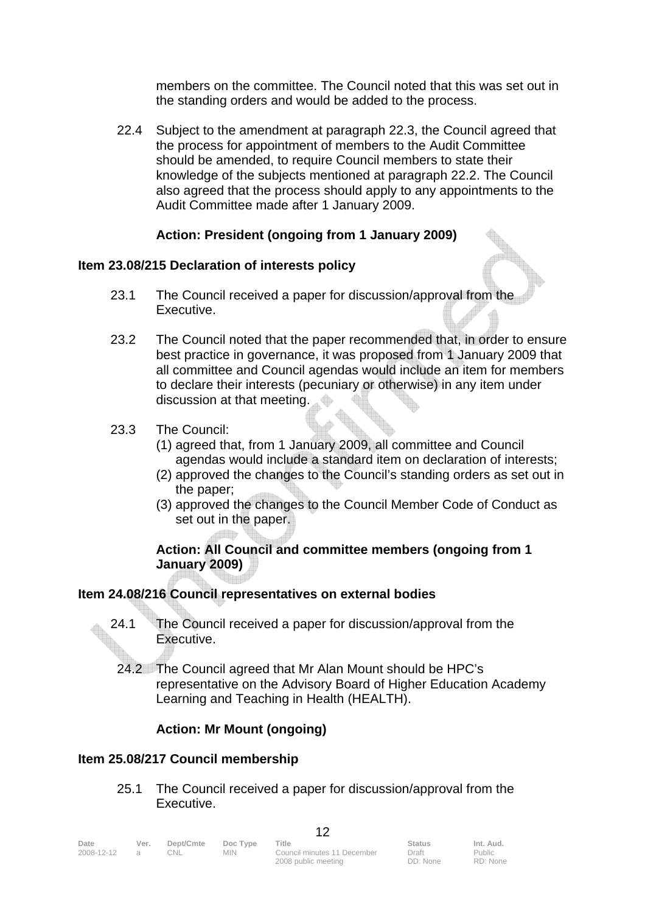members on the committee. The Council noted that this was set out in the standing orders and would be added to the process.

 22.4 Subject to the amendment at paragraph 22.3, the Council agreed that the process for appointment of members to the Audit Committee should be amended, to require Council members to state their knowledge of the subjects mentioned at paragraph 22.2. The Council also agreed that the process should apply to any appointments to the Audit Committee made after 1 January 2009.

### **Action: President (ongoing from 1 January 2009)**

#### **Item 23.08/215 Declaration of interests policy**

- 23.1 The Council received a paper for discussion/approval from the Executive.
- 23.2 The Council noted that the paper recommended that, in order to ensure best practice in governance, it was proposed from 1 January 2009 that all committee and Council agendas would include an item for members to declare their interests (pecuniary or otherwise) in any item under discussion at that meeting.
- 23.3 The Council:
	- (1) agreed that, from 1 January 2009, all committee and Council agendas would include a standard item on declaration of interests;
	- (2) approved the changes to the Council's standing orders as set out in the paper;
	- (3) approved the changes to the Council Member Code of Conduct as set out in the paper.

#### **Action: All Council and committee members (ongoing from 1 January 2009)**

#### **Item 24.08/216 Council representatives on external bodies**

- 24.1 The Council received a paper for discussion/approval from the Executive.
	- 24.2 The Council agreed that Mr Alan Mount should be HPC's representative on the Advisory Board of Higher Education Academy Learning and Teaching in Health (HEALTH).

#### **Action: Mr Mount (ongoing)**

#### **Item 25.08/217 Council membership**

 25.1 The Council received a paper for discussion/approval from the Executive.

| Date       | Ver. | Dept/Cmte | Doc Type | Title                       | <b>Status</b> | Int. Aud. |
|------------|------|-----------|----------|-----------------------------|---------------|-----------|
| 2008-12-12 |      | 0NL       | MIN -    | Council minutes 11 December | Draft         | Public    |
|            |      |           |          | 2008 public meeting         | DD: None      | RD: None  |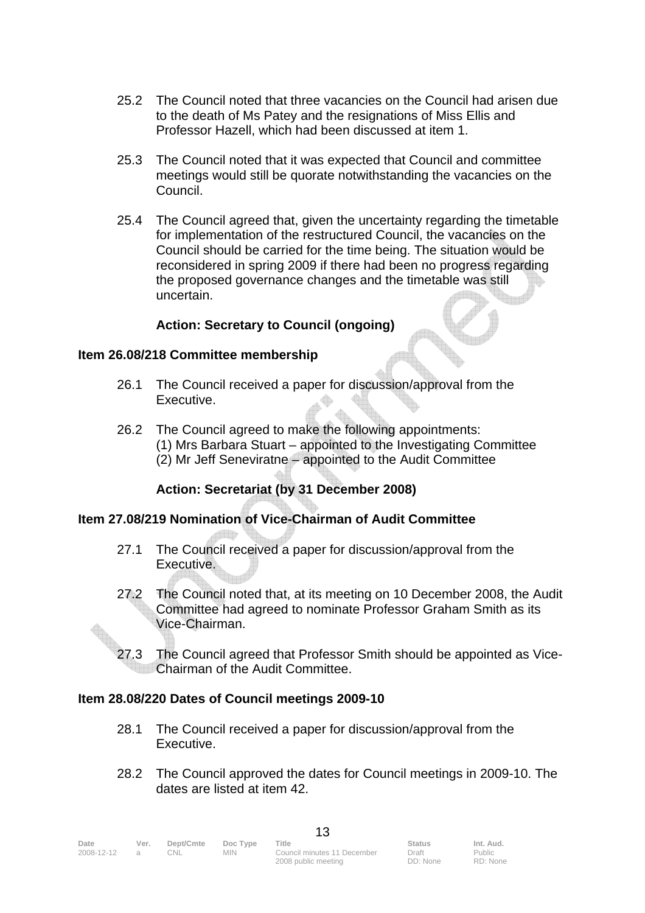- 25.2 The Council noted that three vacancies on the Council had arisen due to the death of Ms Patey and the resignations of Miss Ellis and Professor Hazell, which had been discussed at item 1.
- 25.3 The Council noted that it was expected that Council and committee meetings would still be quorate notwithstanding the vacancies on the Council.
- 25.4 The Council agreed that, given the uncertainty regarding the timetable for implementation of the restructured Council, the vacancies on the Council should be carried for the time being. The situation would be reconsidered in spring 2009 if there had been no progress regarding the proposed governance changes and the timetable was still uncertain.

#### **Action: Secretary to Council (ongoing)**

#### **Item 26.08/218 Committee membership**

- 26.1 The Council received a paper for discussion/approval from the Executive.
- 26.2 The Council agreed to make the following appointments: (1) Mrs Barbara Stuart – appointed to the Investigating Committee (2) Mr Jeff Seneviratne – appointed to the Audit Committee

### **Action: Secretariat (by 31 December 2008)**

#### **Item 27.08/219 Nomination of Vice-Chairman of Audit Committee**

- 27.1 The Council received a paper for discussion/approval from the Executive.
- 27.2 The Council noted that, at its meeting on 10 December 2008, the Audit Committee had agreed to nominate Professor Graham Smith as its Vice-Chairman.
- 27.3 The Council agreed that Professor Smith should be appointed as Vice- Chairman of the Audit Committee.

#### **Item 28.08/220 Dates of Council meetings 2009-10**

- 28.1 The Council received a paper for discussion/approval from the Executive.
- 28.2 The Council approved the dates for Council meetings in 2009-10. The dates are listed at item 42.

| Date       | Ver.          | Dept/Cmte | Doc Type | Title                       | <b>Status</b> | Int. Aud. |  |
|------------|---------------|-----------|----------|-----------------------------|---------------|-----------|--|
| 2008-12-12 | $\mathcal{A}$ | CNL.      | MIN.     | Council minutes 11 December | Draft         | Public    |  |
|            |               |           |          | 2008 public meeting         | DD: None      | RD: None  |  |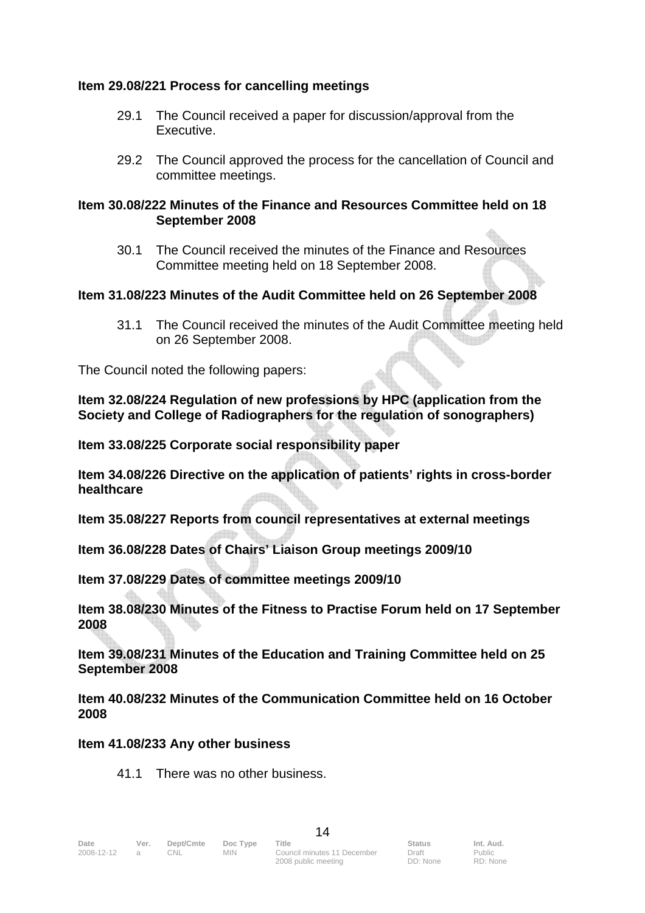#### **Item 29.08/221 Process for cancelling meetings**

- 29.1 The Council received a paper for discussion/approval from the Executive.
- 29.2 The Council approved the process for the cancellation of Council and committee meetings.

#### **Item 30.08/222 Minutes of the Finance and Resources Committee held on 18 September 2008**

 30.1 The Council received the minutes of the Finance and Resources Committee meeting held on 18 September 2008.

#### **Item 31.08/223 Minutes of the Audit Committee held on 26 September 2008**

 31.1 The Council received the minutes of the Audit Committee meeting held on 26 September 2008.

The Council noted the following papers:

**Item 32.08/224 Regulation of new professions by HPC (application from the Society and College of Radiographers for the regulation of sonographers)** 

**Item 33.08/225 Corporate social responsibility paper** 

**Item 34.08/226 Directive on the application of patients' rights in cross-border healthcare** 

**Item 35.08/227 Reports from council representatives at external meetings** 

**Item 36.08/228 Dates of Chairs' Liaison Group meetings 2009/10** 

**Item 37.08/229 Dates of committee meetings 2009/10** 

**Item 38.08/230 Minutes of the Fitness to Practise Forum held on 17 September 2008** 

**Item 39.08/231 Minutes of the Education and Training Committee held on 25 September 2008** 

**Item 40.08/232 Minutes of the Communication Committee held on 16 October 2008** 

#### **Item 41.08/233 Any other business**

41.1 There was no other business.